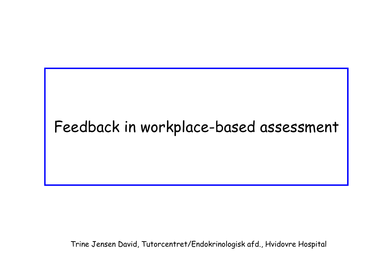# Feedback in workplace-based assessment

Trine Jensen David, Tutorcentret/Endokrinologisk afd., Hvidovre Hospital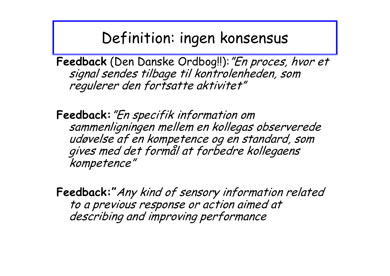#### Definition: ingen konsensus

Feedback (Den Danske Ordbog!!): "En proces, hvor et signal sendes tilbage til kontrolenheden, som regulerer den fortsatte aktivitet"

**Feedback:**"En specifik information om sammenligningen mellem en kollegas observerede gives med det formål at forbedre kollegaens kompetence"

**Feedback:"**Any kind of sensory information related to a previous response or action aimed at describing and improving performance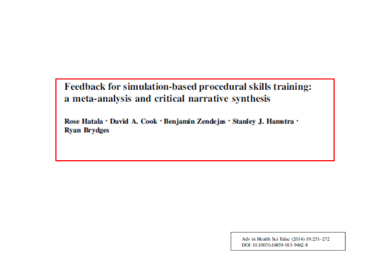Feedback for simulation-based procedural skills training: a meta-analysis and critical narrative synthesis

Rose Hatala · David A. Cook · Benjamin Zendejas · Stanley J. Hamstra · **Ryan Brydges** 

> Adv in Health Sci Educ (2014) 19:251-272 DOI 10.1007/s10459-013-9462-8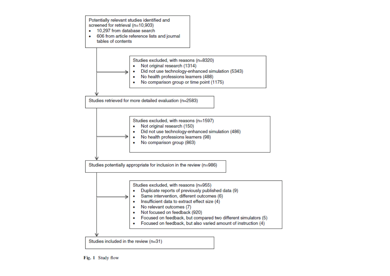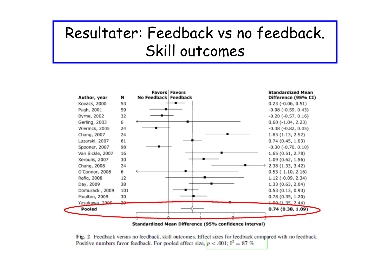# Resultater: Feedback vs no feedback. Skill outcomes



Standardized Mean Difference (95% confidence interval)

Fig. 2 Feedback versus no feedback, skill outcomes. Effect sizes for feedback compared with no feedback. Positive numbers favor feedback. For pooled effect size,  $p < .001$ ;  $I^2 = 87\%$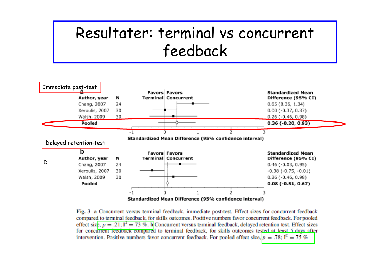#### Resultater: terminal vs concurrent feedback



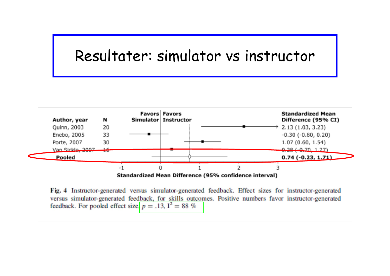#### Resultater: simulator vs instructor

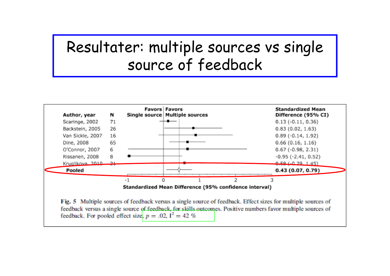### Resultater: multiple sources vs single source of feedback

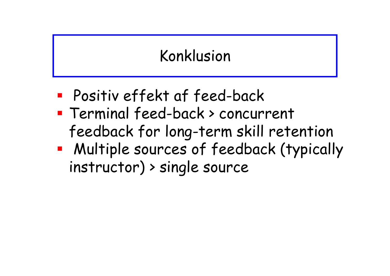# Konklusion

- an<br>M Positiv effekt af feed-back
- Terminal feed-back > concurrent feedback for long-term skill retention
- an<br>M Multiple sources of feedback (typically instructor) > single source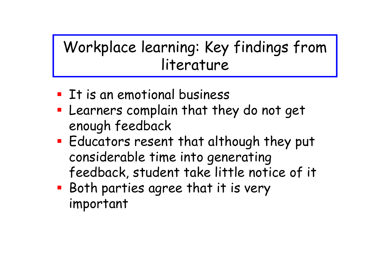## Workplace learning: Key findings from literature

- **If is an emotional business**
- Learners complain that they do not get enough feedback
- **Educators resent that although they put** considerable time into generating feedback, student take little notice of it
- **Both parties agree that it is very** important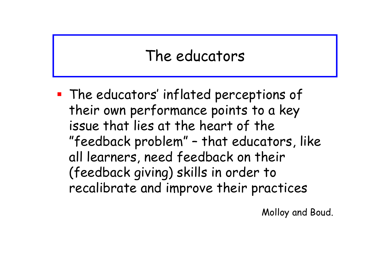### The educators

 The educators' inflated perceptions of their own performance points to a key issue that lies at the heart of the "feedback problem" – that educators, like all learners, need feedback on their (feedback giving) skills in order to recalibrate and improve their practices

Molloy and Boud.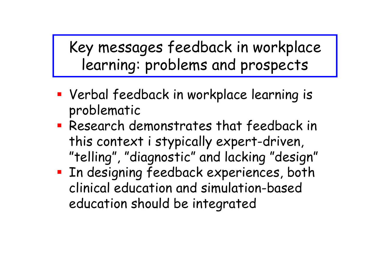Key messages feedback in workplace learning: problems and prospects

- Verbal feedback in workplace learning is problematic
- Research demonstrates that feedback in this context i stypically expert-driven, "telling", "diagnostic" and lacking "design"
- **External Endergian Endergiful Proof**. both clinical education and simulation-based education should be integrated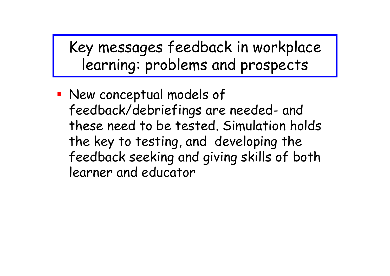Key messages feedback in workplace learning: problems and prospects

 New conceptual models of feedback/debriefings are needed- and these need to be tested. Simulation holds the key to testing, and developing the feedback seeking and giving skills of both learner and educator